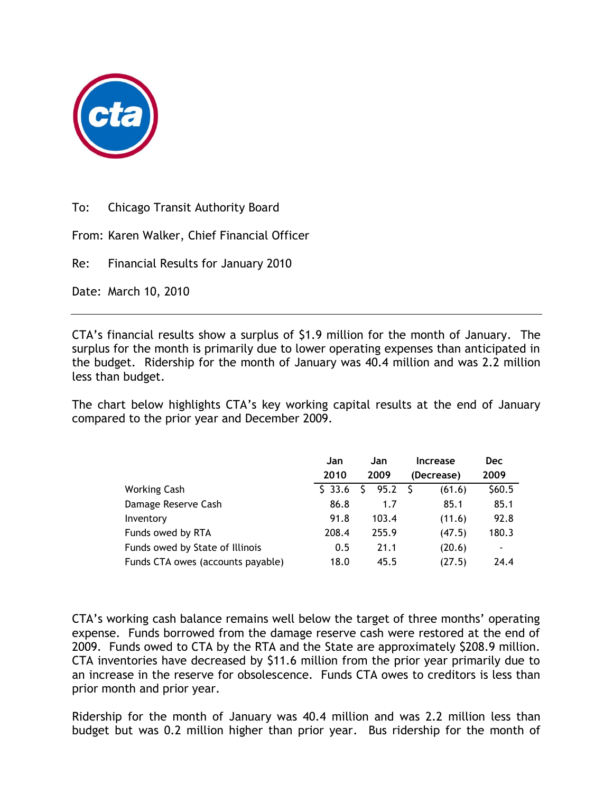

To: Chicago Transit Authority Board

From: Karen Walker, Chief Financial Officer

Re: Financial Results for January 2010

Date: March 10, 2010

CTA's financial results show a surplus of \$1.9 million for the month of January. The surplus for the month is primarily due to lower operating expenses than anticipated in the budget. Ridership for the month of January was 40.4 million and was 2.2 million less than budget.

The chart below highlights CTA's key working capital results at the end of January compared to the prior year and December 2009.

|                                   | Jan      | Jan       | <b>Increase</b> | <b>Dec</b>               |
|-----------------------------------|----------|-----------|-----------------|--------------------------|
|                                   | 2010     | 2009      | (Decrease)      | 2009                     |
| <b>Working Cash</b>               | $S$ 33.6 | 95.2<br>S | - S<br>(61.6)   | \$60.5                   |
| Damage Reserve Cash               | 86.8     | 1.7       | 85.1            | 85.1                     |
| Inventory                         | 91.8     | 103.4     | (11.6)          | 92.8                     |
| Funds owed by RTA                 | 208.4    | 255.9     | (47.5)          | 180.3                    |
| Funds owed by State of Illinois   | 0.5      | 21.1      | (20.6)          | $\overline{\phantom{a}}$ |
| Funds CTA owes (accounts payable) | 18.0     | 45.5      | (27.5)          | 24.4                     |

CTA's working cash balance remains well below the target of three months' operating expense. Funds borrowed from the damage reserve cash were restored at the end of 2009. Funds owed to CTA by the RTA and the State are approximately \$208.9 million. CTA inventories have decreased by \$11.6 million from the prior year primarily due to an increase in the reserve for obsolescence. Funds CTA owes to creditors is less than prior month and prior year.

Ridership for the month of January was 40.4 million and was 2.2 million less than budget but was 0.2 million higher than prior year. Bus ridership for the month of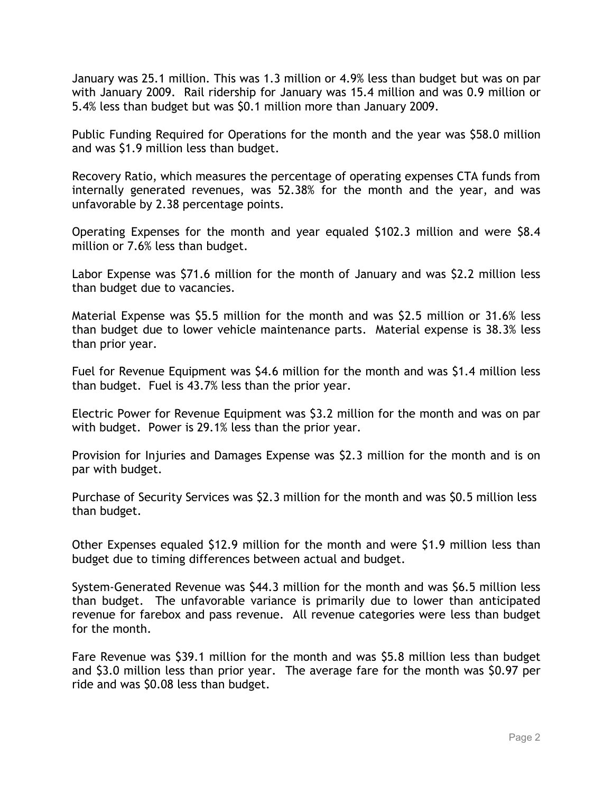January was 25.1 million. This was 1.3 million or 4.9% less than budget but was on par with January 2009. Rail ridership for January was 15.4 million and was 0.9 million or 5.4% less than budget but was \$0.1 million more than January 2009.

Public Funding Required for Operations for the month and the year was \$58.0 million and was \$1.9 million less than budget.

Recovery Ratio, which measures the percentage of operating expenses CTA funds from internally generated revenues, was 52.38% for the month and the year, and was unfavorable by 2.38 percentage points.

Operating Expenses for the month and year equaled \$102.3 million and were \$8.4 million or 7.6% less than budget.

Labor Expense was \$71.6 million for the month of January and was \$2.2 million less than budget due to vacancies.

Material Expense was \$5.5 million for the month and was \$2.5 million or 31.6% less than budget due to lower vehicle maintenance parts. Material expense is 38.3% less than prior year.

Fuel for Revenue Equipment was \$4.6 million for the month and was \$1.4 million less than budget. Fuel is 43.7% less than the prior year.

Electric Power for Revenue Equipment was \$3.2 million for the month and was on par with budget. Power is 29.1% less than the prior year.

Provision for Injuries and Damages Expense was \$2.3 million for the month and is on par with budget.

Purchase of Security Services was \$2.3 million for the month and was \$0.5 million less than budget.

Other Expenses equaled \$12.9 million for the month and were \$1.9 million less than budget due to timing differences between actual and budget.

System-Generated Revenue was \$44.3 million for the month and was \$6.5 million less than budget. The unfavorable variance is primarily due to lower than anticipated revenue for farebox and pass revenue. All revenue categories were less than budget for the month.

Fare Revenue was \$39.1 million for the month and was \$5.8 million less than budget and \$3.0 million less than prior year. The average fare for the month was \$0.97 per ride and was \$0.08 less than budget.